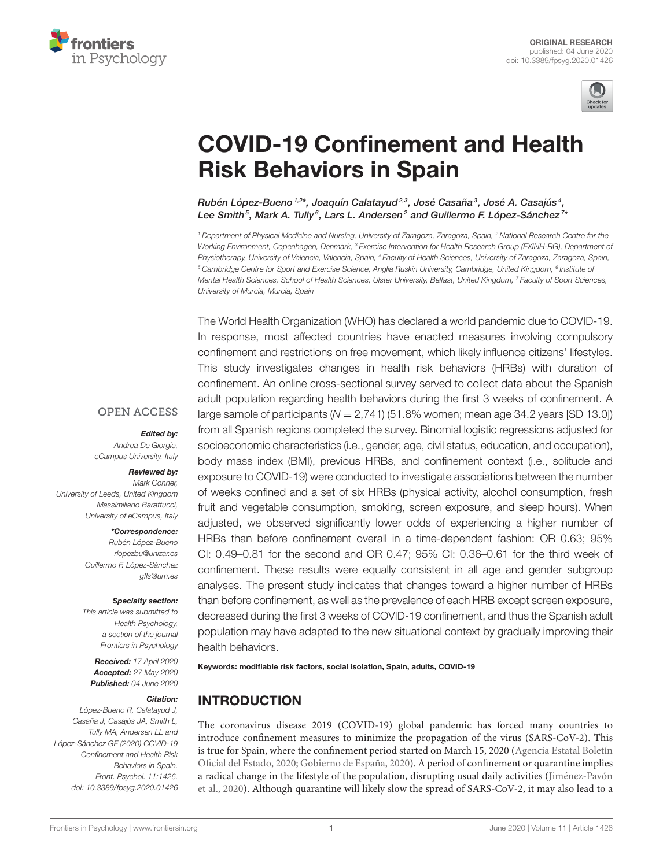



# [COVID-19 Confinement and Health](https://www.frontiersin.org/articles/10.3389/fpsyg.2020.01426/full) Risk Behaviors in Spain

[Rubén López-Bueno](http://loop.frontiersin.org/people/946142/overview) 1.2\*, Joaquín Calatayud<sup>2,3</sup>, José Casaña<sup>3</sup>, José A. Casajús<sup>4</sup>, [Lee Smith](http://loop.frontiersin.org/people/308175/overview) $^5$ , [Mark A. Tully](http://loop.frontiersin.org/people/953246/overview) $^6$ , [Lars L. Andersen](http://loop.frontiersin.org/people/975552/overview) $^2$  and [Guillermo F. López-Sánchez](http://loop.frontiersin.org/people/594898/overview) $^7$ 

<sup>1</sup> Department of Physical Medicine and Nursing, University of Zaragoza, Zaragoza, Spain, <sup>2</sup> National Research Centre for the Working Environment, Copenhagen, Denmark, <sup>3</sup> Exercise Intervention for Health Research Group (EXINH-RG), Department of Physiotherapy, University of Valencia, Valencia, Spain, <sup>4</sup> Faculty of Health Sciences, University of Zaragoza, Zaragoza, Spain,  $^5$ Cambridge Centre for Sport and Exercise Science, Anglia Ruskin University, Cambridge, United Kingdom,  $^6$ Institute oi Mental Health Sciences, School of Health Sciences, Ulster University, Belfast, United Kingdom, <sup>7</sup> Faculty of Sport Sciences, University of Murcia, Murcia, Spain

The World Health Organization (WHO) has declared a world pandemic due to COVID-19. In response, most affected countries have enacted measures involving compulsory confinement and restrictions on free movement, which likely influence citizens' lifestyles. This study investigates changes in health risk behaviors (HRBs) with duration of confinement. An online cross-sectional survey served to collect data about the Spanish adult population regarding health behaviors during the first 3 weeks of confinement. A large sample of participants ( $N = 2,741$ ) (51.8% women; mean age 34.2 years [SD 13.0]) from all Spanish regions completed the survey. Binomial logistic regressions adjusted for socioeconomic characteristics (i.e., gender, age, civil status, education, and occupation), body mass index (BMI), previous HRBs, and confinement context (i.e., solitude and exposure to COVID-19) were conducted to investigate associations between the number of weeks confined and a set of six HRBs (physical activity, alcohol consumption, fresh fruit and vegetable consumption, smoking, screen exposure, and sleep hours). When adjusted, we observed significantly lower odds of experiencing a higher number of HRBs than before confinement overall in a time-dependent fashion: OR 0.63; 95% CI: 0.49–0.81 for the second and OR 0.47; 95% CI: 0.36–0.61 for the third week of confinement. These results were equally consistent in all age and gender subgroup analyses. The present study indicates that changes toward a higher number of HRBs than before confinement, as well as the prevalence of each HRB except screen exposure, decreased during the first 3 weeks of COVID-19 confinement, and thus the Spanish adult population may have adapted to the new situational context by gradually improving their health behaviors.

Keywords: modifiable risk factors, social isolation, Spain, adults, COVID-19

# INTRODUCTION

The coronavirus disease 2019 (COVID-19) global pandemic has forced many countries to introduce confinement measures to minimize the propagation of the virus (SARS-CoV-2). This is true for Spain, where the confinement period started on March 15, 2020 (Agencia Estatal Boletín Oficial del Estado, [2020;](#page-7-0) [Gobierno de España, 2020\)](#page-8-0). A period of confinement or quarantine implies a radical change in the lifestyle of the population, disrupting usual daily activities (Jiménez-Pavón et al., [2020\)](#page-8-1). Although quarantine will likely slow the spread of SARS-CoV-2, it may also lead to a

#### **OPEN ACCESS**

#### Edited by:

Andrea De Giorgio, eCampus University, Italy

#### Reviewed by:

Mark Conner, University of Leeds, United Kingdom Massimiliano Barattucci, University of eCampus, Italy

#### \*Correspondence:

Rubén López-Bueno [rlopezbu@unizar.es](mailto:rlopezbu@unizar.es) Guillermo F. López-Sánchez [gfls@um.es](mailto:gfls@um.es)

#### Specialty section:

This article was submitted to Health Psychology, a section of the journal Frontiers in Psychology

Received: 17 April 2020 Accepted: 27 May 2020 Published: 04 June 2020

#### Citation:

López-Bueno R, Calatayud J, Casaña J, Casajús JA, Smith L, Tully MA, Andersen LL and López-Sánchez GF (2020) COVID-19 Confinement and Health Risk Behaviors in Spain. Front. Psychol. 11:1426. doi: [10.3389/fpsyg.2020.01426](https://doi.org/10.3389/fpsyg.2020.01426)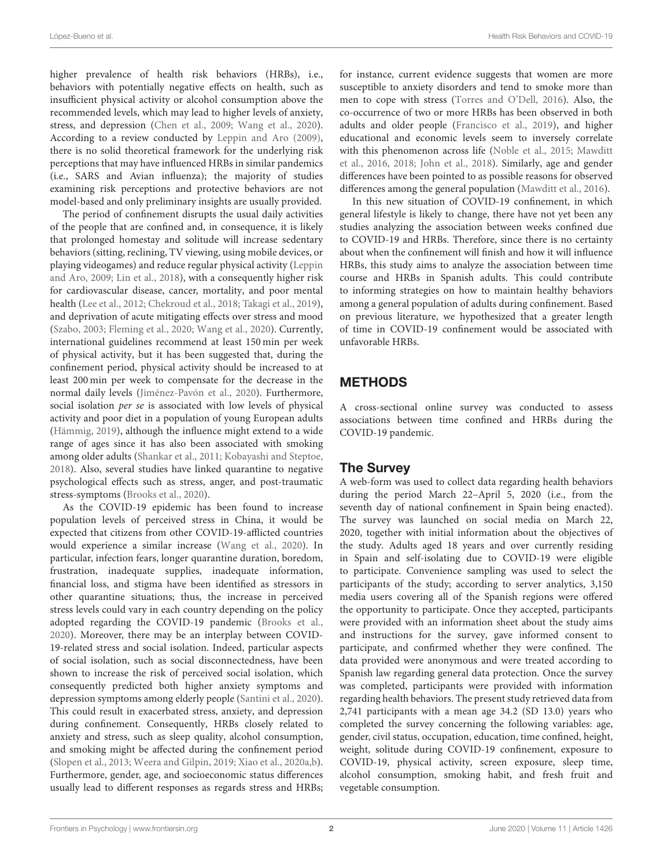higher prevalence of health risk behaviors (HRBs), i.e., behaviors with potentially negative effects on health, such as insufficient physical activity or alcohol consumption above the recommended levels, which may lead to higher levels of anxiety, stress, and depression [\(Chen et al., 2009;](#page-7-1) [Wang et al., 2020\)](#page-9-0). According to a review conducted by [Leppin and Aro \(2009\)](#page-8-2), there is no solid theoretical framework for the underlying risk perceptions that may have influenced HRBs in similar pandemics (i.e., SARS and Avian influenza); the majority of studies examining risk perceptions and protective behaviors are not model-based and only preliminary insights are usually provided.

The period of confinement disrupts the usual daily activities of the people that are confined and, in consequence, it is likely that prolonged homestay and solitude will increase sedentary behaviors (sitting, reclining, TV viewing, using mobile devices, or playing videogames) and reduce regular physical activity (Leppin and Aro, [2009;](#page-8-2) [Lin et al., 2018\)](#page-8-3), with a consequently higher risk for cardiovascular disease, cancer, mortality, and poor mental health [\(Lee et al., 2012;](#page-8-4) [Chekroud et al., 2018;](#page-7-2) [Takagi et al., 2019\)](#page-9-1), and deprivation of acute mitigating effects over stress and mood [\(Szabo, 2003;](#page-9-2) [Fleming et al., 2020;](#page-8-5) [Wang et al., 2020\)](#page-9-0). Currently, international guidelines recommend at least 150 min per week of physical activity, but it has been suggested that, during the confinement period, physical activity should be increased to at least 200 min per week to compensate for the decrease in the normal daily levels [\(Jiménez-Pavón et al., 2020\)](#page-8-1). Furthermore, social isolation per se is associated with low levels of physical activity and poor diet in a population of young European adults [\(Hämmig, 2019\)](#page-8-6), although the influence might extend to a wide range of ages since it has also been associated with smoking among older adults [\(Shankar et al., 2011;](#page-8-7) [Kobayashi and Steptoe,](#page-8-8) [2018\)](#page-8-8). Also, several studies have linked quarantine to negative psychological effects such as stress, anger, and post-traumatic stress-symptoms [\(Brooks et al., 2020\)](#page-7-3).

As the COVID-19 epidemic has been found to increase population levels of perceived stress in China, it would be expected that citizens from other COVID-19-afflicted countries would experience a similar increase [\(Wang et al., 2020\)](#page-9-0). In particular, infection fears, longer quarantine duration, boredom, frustration, inadequate supplies, inadequate information, financial loss, and stigma have been identified as stressors in other quarantine situations; thus, the increase in perceived stress levels could vary in each country depending on the policy adopted regarding the COVID-19 pandemic [\(Brooks et al.,](#page-7-3) [2020\)](#page-7-3). Moreover, there may be an interplay between COVID-19-related stress and social isolation. Indeed, particular aspects of social isolation, such as social disconnectedness, have been shown to increase the risk of perceived social isolation, which consequently predicted both higher anxiety symptoms and depression symptoms among elderly people [\(Santini et al., 2020\)](#page-8-9). This could result in exacerbated stress, anxiety, and depression during confinement. Consequently, HRBs closely related to anxiety and stress, such as sleep quality, alcohol consumption, and smoking might be affected during the confinement period [\(Slopen et al., 2013;](#page-8-10) [Weera and Gilpin, 2019;](#page-9-3) [Xiao et al., 2020a,](#page-9-4)[b\)](#page-9-5). Furthermore, gender, age, and socioeconomic status differences usually lead to different responses as regards stress and HRBs; for instance, current evidence suggests that women are more susceptible to anxiety disorders and tend to smoke more than men to cope with stress [\(Torres and O'Dell, 2016\)](#page-9-6). Also, the co-occurrence of two or more HRBs has been observed in both adults and older people [\(Francisco et al., 2019\)](#page-8-11), and higher educational and economic levels seem to inversely correlate with this phenomenon across life [\(Noble et al., 2015;](#page-8-12) Mawditt et al., [2016,](#page-8-13) [2018;](#page-8-14) [John et al., 2018\)](#page-8-15). Similarly, age and gender differences have been pointed to as possible reasons for observed differences among the general population [\(Mawditt et al., 2016\)](#page-8-13).

In this new situation of COVID-19 confinement, in which general lifestyle is likely to change, there have not yet been any studies analyzing the association between weeks confined due to COVID-19 and HRBs. Therefore, since there is no certainty about when the confinement will finish and how it will influence HRBs, this study aims to analyze the association between time course and HRBs in Spanish adults. This could contribute to informing strategies on how to maintain healthy behaviors among a general population of adults during confinement. Based on previous literature, we hypothesized that a greater length of time in COVID-19 confinement would be associated with unfavorable HRBs.

# METHODS

A cross-sectional online survey was conducted to assess associations between time confined and HRBs during the COVID-19 pandemic.

## The Survey

A web-form was used to collect data regarding health behaviors during the period March 22–April 5, 2020 (i.e., from the seventh day of national confinement in Spain being enacted). The survey was launched on social media on March 22, 2020, together with initial information about the objectives of the study. Adults aged 18 years and over currently residing in Spain and self-isolating due to COVID-19 were eligible to participate. Convenience sampling was used to select the participants of the study; according to server analytics, 3,150 media users covering all of the Spanish regions were offered the opportunity to participate. Once they accepted, participants were provided with an information sheet about the study aims and instructions for the survey, gave informed consent to participate, and confirmed whether they were confined. The data provided were anonymous and were treated according to Spanish law regarding general data protection. Once the survey was completed, participants were provided with information regarding health behaviors. The present study retrieved data from 2,741 participants with a mean age 34.2 (SD 13.0) years who completed the survey concerning the following variables: age, gender, civil status, occupation, education, time confined, height, weight, solitude during COVID-19 confinement, exposure to COVID-19, physical activity, screen exposure, sleep time, alcohol consumption, smoking habit, and fresh fruit and vegetable consumption.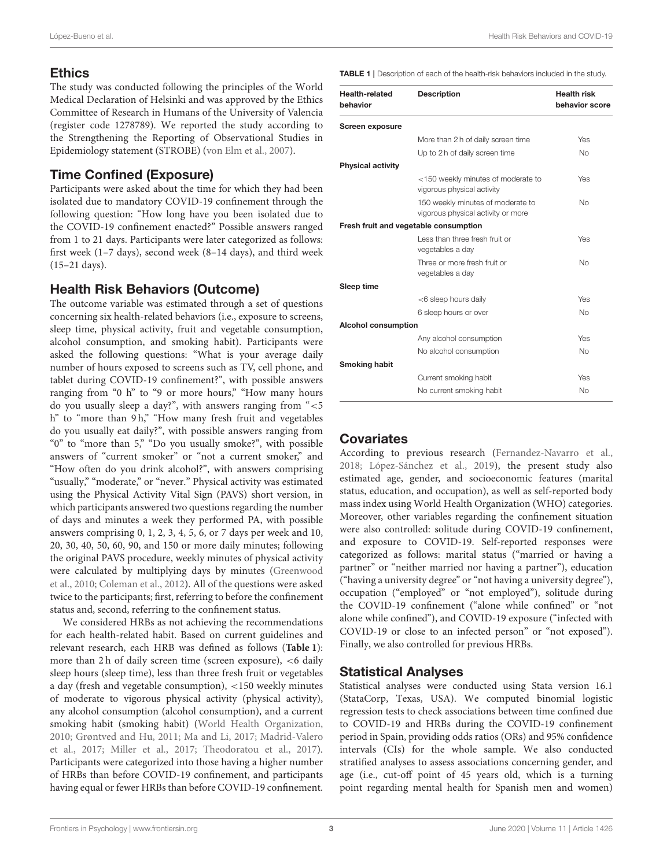# **Ethics**

The study was conducted following the principles of the World Medical Declaration of Helsinki and was approved by the Ethics Committee of Research in Humans of the University of Valencia (register code 1278789). We reported the study according to the Strengthening the Reporting of Observational Studies in Epidemiology statement (STROBE) [\(von Elm et al., 2007\)](#page-9-7).

# Time Confined (Exposure)

Participants were asked about the time for which they had been isolated due to mandatory COVID-19 confinement through the following question: "How long have you been isolated due to the COVID-19 confinement enacted?" Possible answers ranged from 1 to 21 days. Participants were later categorized as follows: first week (1–7 days), second week (8–14 days), and third week (15–21 days).

# Health Risk Behaviors (Outcome)

The outcome variable was estimated through a set of questions concerning six health-related behaviors (i.e., exposure to screens, sleep time, physical activity, fruit and vegetable consumption, alcohol consumption, and smoking habit). Participants were asked the following questions: "What is your average daily number of hours exposed to screens such as TV, cell phone, and tablet during COVID-19 confinement?", with possible answers ranging from "0 h" to "9 or more hours," "How many hours do you usually sleep a day?", with answers ranging from "<5 h" to "more than 9 h," "How many fresh fruit and vegetables do you usually eat daily?", with possible answers ranging from "0" to "more than 5," "Do you usually smoke?", with possible answers of "current smoker" or "not a current smoker," and "How often do you drink alcohol?", with answers comprising "usually," "moderate," or "never." Physical activity was estimated using the Physical Activity Vital Sign (PAVS) short version, in which participants answered two questions regarding the number of days and minutes a week they performed PA, with possible answers comprising 0, 1, 2, 3, 4, 5, 6, or 7 days per week and 10, 20, 30, 40, 50, 60, 90, and 150 or more daily minutes; following the original PAVS procedure, weekly minutes of physical activity were calculated by multiplying days by minutes (Greenwood et al., [2010;](#page-8-16) [Coleman et al., 2012\)](#page-8-17). All of the questions were asked twice to the participants; first, referring to before the confinement status and, second, referring to the confinement status.

We considered HRBs as not achieving the recommendations for each health-related habit. Based on current guidelines and relevant research, each HRB was defined as follows (**[Table 1](#page-2-0)**): more than 2 h of daily screen time (screen exposure), <6 daily sleep hours (sleep time), less than three fresh fruit or vegetables a day (fresh and vegetable consumption), <150 weekly minutes of moderate to vigorous physical activity (physical activity), any alcohol consumption (alcohol consumption), and a current smoking habit (smoking habit) [\(World Health Organization,](#page-9-8) [2010;](#page-9-8) [Grøntved and Hu, 2011;](#page-8-18) [Ma and Li, 2017;](#page-8-19) Madrid-Valero et al., [2017;](#page-8-20) [Miller et al., 2017;](#page-8-21) [Theodoratou et al., 2017\)](#page-9-9). Participants were categorized into those having a higher number of HRBs than before COVID-19 confinement, and participants having equal or fewer HRBs than before COVID-19 confinement. <span id="page-2-0"></span>TABLE 1 | Description of each of the health-risk behaviors included in the study.

| <b>Health-related</b><br>behavior | <b>Description</b>                                                      | <b>Health risk</b><br>behavior score |
|-----------------------------------|-------------------------------------------------------------------------|--------------------------------------|
| <b>Screen exposure</b>            |                                                                         |                                      |
|                                   | More than 2 h of daily screen time                                      | Yes                                  |
|                                   | Up to 2 h of daily screen time                                          | <b>No</b>                            |
| <b>Physical activity</b>          |                                                                         |                                      |
|                                   | <150 weekly minutes of moderate to<br>vigorous physical activity        | Yes                                  |
|                                   | 150 weekly minutes of moderate to<br>vigorous physical activity or more | <b>No</b>                            |
|                                   | Fresh fruit and vegetable consumption                                   |                                      |
|                                   | Less than three fresh fruit or<br>vegetables a day                      | Yes                                  |
|                                   | Three or more fresh fruit or<br>vegetables a day                        | <b>No</b>                            |
| Sleep time                        |                                                                         |                                      |
|                                   | <6 sleep hours daily                                                    | Yes                                  |
|                                   | 6 sleep hours or over                                                   | <b>No</b>                            |
| <b>Alcohol consumption</b>        |                                                                         |                                      |
|                                   | Any alcohol consumption                                                 | Yes                                  |
|                                   | No alcohol consumption                                                  | No                                   |
| <b>Smoking habit</b>              |                                                                         |                                      |
|                                   | Current smoking habit                                                   | Yes                                  |
|                                   | No current smoking habit                                                | No                                   |

# **Covariates**

According to previous research [\(Fernandez-Navarro et al.,](#page-8-22) [2018;](#page-8-22) [López-Sánchez et al., 2019\)](#page-8-23), the present study also estimated age, gender, and socioeconomic features (marital status, education, and occupation), as well as self-reported body mass index using World Health Organization (WHO) categories. Moreover, other variables regarding the confinement situation were also controlled: solitude during COVID-19 confinement, and exposure to COVID-19. Self-reported responses were categorized as follows: marital status ("married or having a partner" or "neither married nor having a partner"), education ("having a university degree" or "not having a university degree"), occupation ("employed" or "not employed"), solitude during the COVID-19 confinement ("alone while confined" or "not alone while confined"), and COVID-19 exposure ("infected with COVID-19 or close to an infected person" or "not exposed"). Finally, we also controlled for previous HRBs.

## Statistical Analyses

Statistical analyses were conducted using Stata version 16.1 (StataCorp, Texas, USA). We computed binomial logistic regression tests to check associations between time confined due to COVID-19 and HRBs during the COVID-19 confinement period in Spain, providing odds ratios (ORs) and 95% confidence intervals (CIs) for the whole sample. We also conducted stratified analyses to assess associations concerning gender, and age (i.e., cut-off point of 45 years old, which is a turning point regarding mental health for Spanish men and women)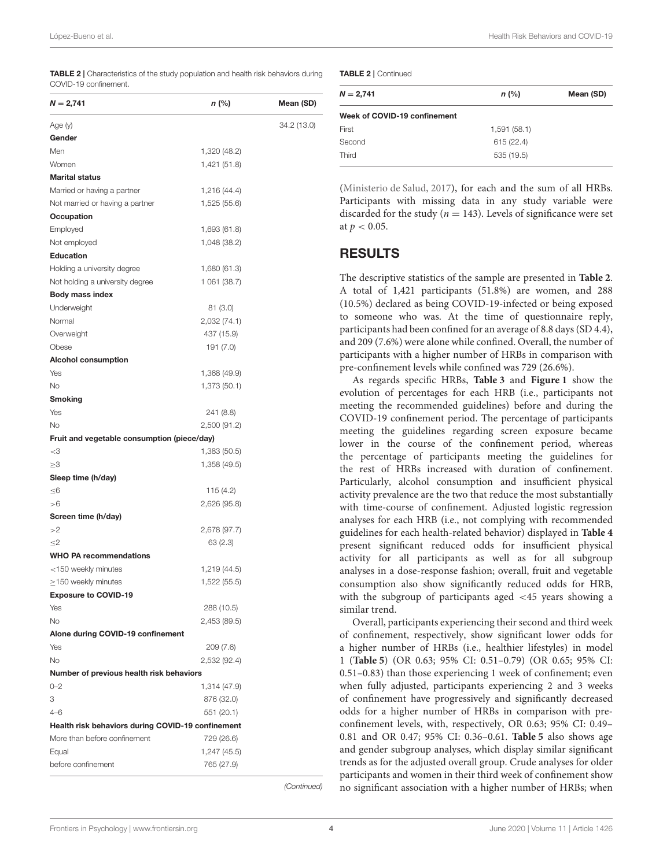<span id="page-3-0"></span>TABLE 2 | Characteristics of the study population and health risk behaviors during COVID-19 confinement.

| $N = 2,741$                                       | n (%)        | Mean (SD)   |
|---------------------------------------------------|--------------|-------------|
| Age (y)                                           |              | 34.2 (13.0) |
| Gender                                            |              |             |
| Men                                               | 1,320 (48.2) |             |
| Women                                             | 1,421 (51.8) |             |
| <b>Marital status</b>                             |              |             |
| Married or having a partner                       | 1,216 (44.4) |             |
| Not married or having a partner                   | 1,525 (55.6) |             |
| Occupation                                        |              |             |
| Employed                                          | 1,693 (61.8) |             |
| Not employed                                      | 1,048 (38.2) |             |
| <b>Education</b>                                  |              |             |
| Holding a university degree                       | 1,680 (61.3) |             |
| Not holding a university degree                   | 1 061 (38.7) |             |
| <b>Body mass index</b>                            |              |             |
| Underweight                                       | 81(3.0)      |             |
| Normal                                            | 2,032 (74.1) |             |
| Overweight                                        | 437 (15.9)   |             |
| Obese                                             | 191 (7.0)    |             |
| <b>Alcohol consumption</b>                        |              |             |
| Yes                                               | 1,368 (49.9) |             |
| No                                                | 1,373 (50.1) |             |
| Smoking                                           |              |             |
| Yes                                               | 241 (8.8)    |             |
| <b>No</b>                                         | 2,500 (91.2) |             |
| Fruit and vegetable consumption (piece/day)       |              |             |
| $<$ 3                                             | 1,383 (50.5) |             |
| ≥3                                                | 1,358 (49.5) |             |
| Sleep time (h/day)                                |              |             |
| ≤6                                                | 115 (4.2)    |             |
| >6                                                | 2,626 (95.8) |             |
| Screen time (h/day)                               |              |             |
| >2                                                | 2,678 (97.7) |             |
| $\leq$ 2                                          | 63(2.3)      |             |
| <b>WHO PA recommendations</b>                     |              |             |
| <150 weekly minutes                               | 1,219 (44.5) |             |
| $\geq$ 150 weekly minutes                         | 1,522 (55.5) |             |
| <b>Exposure to COVID-19</b>                       |              |             |
| Yes                                               | 288 (10.5)   |             |
| <b>No</b>                                         | 2,453 (89.5) |             |
| Alone during COVID-19 confinement                 |              |             |
| Yes                                               | 209 (7.6)    |             |
| <b>No</b>                                         | 2,532 (92.4) |             |
| Number of previous health risk behaviors          |              |             |
| $0 - 2$                                           | 1,314 (47.9) |             |
| 3                                                 | 876 (32.0)   |             |
| $4 - 6$                                           |              |             |
|                                                   | 551 (20.1)   |             |
| Health risk behaviors during COVID-19 confinement |              |             |
| More than before confinement                      | 729 (26.6)   |             |
| Equal                                             | 1,247 (45.5) |             |
| before confinement                                | 765 (27.9)   |             |

(Continued)

TABLE 2 | Continued

| $N = 2,741$                  | $n$ (%)     | Mean (SD) |  |  |  |  |  |
|------------------------------|-------------|-----------|--|--|--|--|--|
| Week of COVID-19 confinement |             |           |  |  |  |  |  |
| First                        | 1,591(58.1) |           |  |  |  |  |  |
| Second                       | 615 (22.4)  |           |  |  |  |  |  |
| Third                        | 535 (19.5)  |           |  |  |  |  |  |

[\(Ministerio de Salud, 2017\)](#page-8-24), for each and the sum of all HRBs. Participants with missing data in any study variable were discarded for the study ( $n = 143$ ). Levels of significance were set at  $p < 0.05$ .

#### RESULTS

The descriptive statistics of the sample are presented in **[Table 2](#page-3-0)**. A total of 1,421 participants (51.8%) are women, and 288 (10.5%) declared as being COVID-19-infected or being exposed to someone who was. At the time of questionnaire reply, participants had been confined for an average of 8.8 days (SD 4.4), and 209 (7.6%) were alone while confined. Overall, the number of participants with a higher number of HRBs in comparison with pre-confinement levels while confined was 729 (26.6%).

As regards specific HRBs, **[Table 3](#page-4-0)** and **[Figure 1](#page-4-1)** show the evolution of percentages for each HRB (i.e., participants not meeting the recommended guidelines) before and during the COVID-19 confinement period. The percentage of participants meeting the guidelines regarding screen exposure became lower in the course of the confinement period, whereas the percentage of participants meeting the guidelines for the rest of HRBs increased with duration of confinement. Particularly, alcohol consumption and insufficient physical activity prevalence are the two that reduce the most substantially with time-course of confinement. Adjusted logistic regression analyses for each HRB (i.e., not complying with recommended guidelines for each health-related behavior) displayed in **[Table 4](#page-5-0)** present significant reduced odds for insufficient physical activity for all participants as well as for all subgroup analyses in a dose-response fashion; overall, fruit and vegetable consumption also show significantly reduced odds for HRB, with the subgroup of participants aged <45 years showing a similar trend.

Overall, participants experiencing their second and third week of confinement, respectively, show significant lower odds for a higher number of HRBs (i.e., healthier lifestyles) in model 1 (**[Table 5](#page-6-0)**) (OR 0.63; 95% CI: 0.51–0.79) (OR 0.65; 95% CI: 0.51–0.83) than those experiencing 1 week of confinement; even when fully adjusted, participants experiencing 2 and 3 weeks of confinement have progressively and significantly decreased odds for a higher number of HRBs in comparison with preconfinement levels, with, respectively, OR 0.63; 95% CI: 0.49– 0.81 and OR 0.47; 95% CI: 0.36–0.61. **[Table 5](#page-6-0)** also shows age and gender subgroup analyses, which display similar significant trends as for the adjusted overall group. Crude analyses for older participants and women in their third week of confinement show no significant association with a higher number of HRBs; when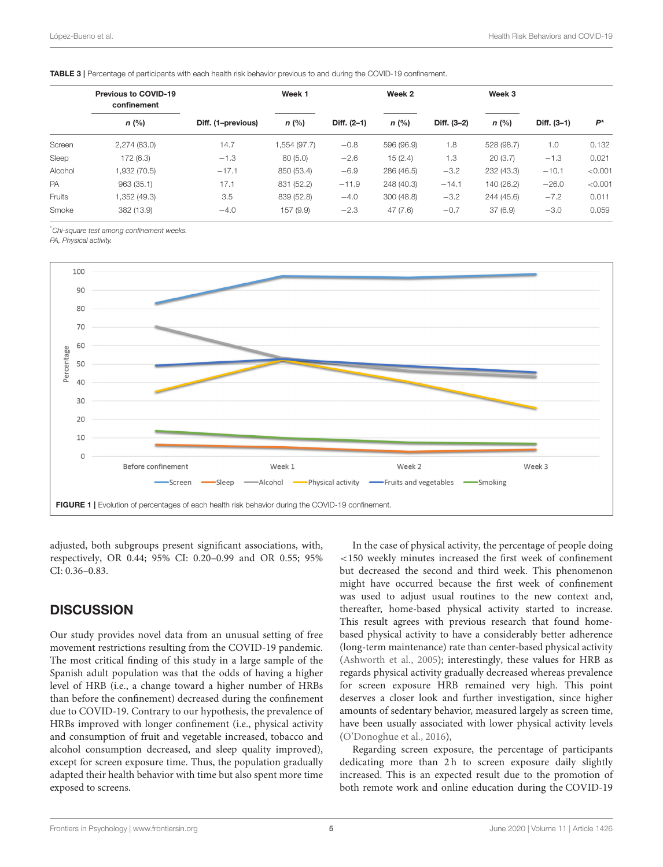|         | <b>Previous to COVID-19</b><br>confinement |                    | Week 1      |             | Week 2     |             | Week 3     |             |         |
|---------|--------------------------------------------|--------------------|-------------|-------------|------------|-------------|------------|-------------|---------|
|         | $n$ (%)                                    | Diff. (1-previous) | $n$ (%)     | Diff. (2-1) | $n$ (%)    | Diff. (3-2) | $n$ (%)    | Diff. (3-1) | $P^*$   |
| Screen  | 2,274(83.0)                                | 14.7               | (97.7) 554. | $-0.8$      | 596 (96.9) | 1.8         | 528 (98.7) | 1.0         | 0.132   |
| Sleep   | 172 (6.3)                                  | $-1.3$             | 80(5.0)     | $-2.6$      | 15(2.4)    | 1.3         | 20(3.7)    | $-1.3$      | 0.021   |
| Alcohol | 1,932 (70.5)                               | $-17.1$            | 850 (53.4)  | $-6.9$      | 286 (46.5) | $-3.2$      | 232 (43.3) | $-10.1$     | < 0.001 |
| PA      | 963(35.1)                                  | 17.1               | 831 (52.2)  | $-11.9$     | 248 (40.3) | $-14.1$     | 140 (26.2) | $-26.0$     | < 0.001 |
| Fruits  | 1,352 (49.3)                               | 3.5                | 839 (52.8)  | $-4.0$      | 300(48.8)  | $-3.2$      | 244 (45.6) | $-7.2$      | 0.011   |
| Smoke   | 382 (13.9)                                 | $-4.0$             | 157 (9.9)   | $-2.3$      | 47(7.6)    | $-0.7$      | 37(6.9)    | $-3.0$      | 0.059   |
|         |                                            |                    |             |             |            |             |            |             |         |

<span id="page-4-0"></span>TABLE 3 | Percentage of participants with each health risk behavior previous to and during the COVID-19 confinement.

\*Chi-square test among confinement weeks.

PA, Physical activity.



<span id="page-4-1"></span>adjusted, both subgroups present significant associations, with, respectively, OR 0.44; 95% CI: 0.20–0.99 and OR 0.55; 95% CI: 0.36–0.83.

## **DISCUSSION**

Our study provides novel data from an unusual setting of free movement restrictions resulting from the COVID-19 pandemic. The most critical finding of this study in a large sample of the Spanish adult population was that the odds of having a higher level of HRB (i.e., a change toward a higher number of HRBs than before the confinement) decreased during the confinement due to COVID-19. Contrary to our hypothesis, the prevalence of HRBs improved with longer confinement (i.e., physical activity and consumption of fruit and vegetable increased, tobacco and alcohol consumption decreased, and sleep quality improved), except for screen exposure time. Thus, the population gradually adapted their health behavior with time but also spent more time exposed to screens.

In the case of physical activity, the percentage of people doing <150 weekly minutes increased the first week of confinement but decreased the second and third week. This phenomenon might have occurred because the first week of confinement was used to adjust usual routines to the new context and, thereafter, home-based physical activity started to increase. This result agrees with previous research that found homebased physical activity to have a considerably better adherence (long-term maintenance) rate than center-based physical activity [\(Ashworth et al., 2005\)](#page-7-4); interestingly, these values for HRB as regards physical activity gradually decreased whereas prevalence for screen exposure HRB remained very high. This point deserves a closer look and further investigation, since higher amounts of sedentary behavior, measured largely as screen time, have been usually associated with lower physical activity levels [\(O'Donoghue et al., 2016\)](#page-8-25),

Regarding screen exposure, the percentage of participants dedicating more than 2h to screen exposure daily slightly increased. This is an expected result due to the promotion of both remote work and online education during the COVID-19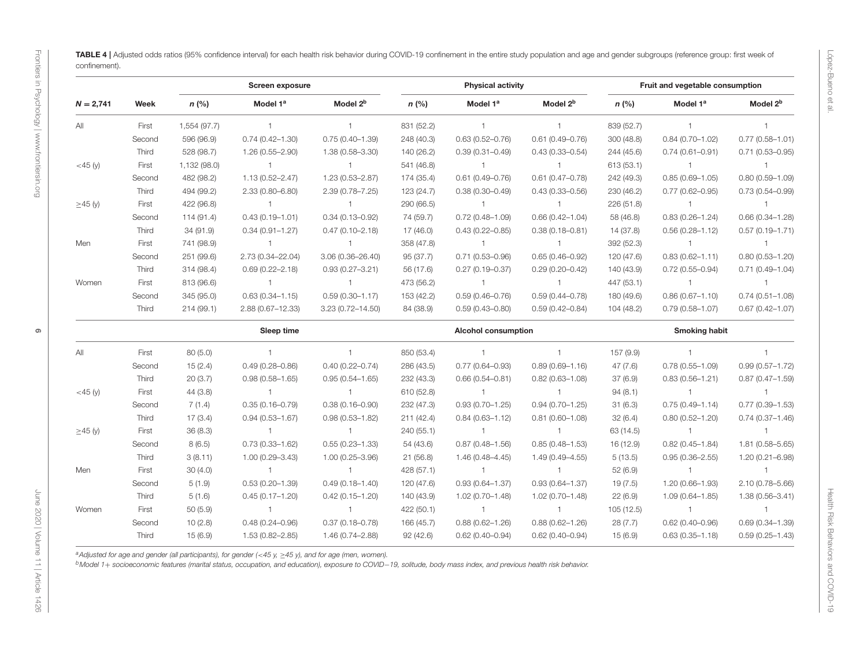6

|               |        |              | Screen exposure      |                      | <b>Physical activity</b> |                            |                      | Fruit and vegetable consumption |                      |                      |
|---------------|--------|--------------|----------------------|----------------------|--------------------------|----------------------------|----------------------|---------------------------------|----------------------|----------------------|
| $N = 2,741$   | Week   | $n$ (%)      | Model 1 <sup>a</sup> | Model 2 <sup>b</sup> | $n$ (%)                  | Model 1 <sup>a</sup>       | Model 2 <sup>b</sup> | $n$ (%)                         | Model 1 <sup>a</sup> | Model 2 <sup>b</sup> |
| All           | First  | 1,554 (97.7) | $\mathbf{1}$         | $\overline{1}$       | 831 (52.2)               | $\mathbf{1}$               | $\mathbf{1}$         | 839 (52.7)                      | $\mathbf{1}$         | $\mathbf{1}$         |
|               | Second | 596 (96.9)   | $0.74(0.42 - 1.30)$  | $0.75(0.40 - 1.39)$  | 248 (40.3)               | $0.63(0.52 - 0.76)$        | $0.61(0.49 - 0.76)$  | 300 (48.8)                      | $0.84(0.70 - 1.02)$  | $0.77(0.58 - 1.01)$  |
|               | Third  | 528 (98.7)   | $1.26(0.55 - 2.90)$  | 1.38 (0.58-3.30)     | 140 (26.2)               | $0.39(0.31 - 0.49)$        | $0.43(0.33 - 0.54)$  | 244 (45.6)                      | $0.74(0.61 - 0.91)$  | $0.71(0.53 - 0.95)$  |
| $<$ 45 (y)    | First  | 1,132 (98.0) | $\overline{1}$       | $\overline{1}$       | 541 (46.8)               | $\overline{1}$             | $\mathbf{1}$         | 613 (53.1)                      | $\overline{1}$       | $\mathbf{1}$         |
|               | Second | 482 (98.2)   | $1.13(0.52 - 2.47)$  | $1.23(0.53 - 2.87)$  | 174 (35.4)               | $0.61(0.49 - 0.76)$        | $0.61(0.47 - 0.78)$  | 242 (49.3)                      | $0.85(0.69 - 1.05)$  | $0.80(0.59 - 1.09)$  |
|               | Third  | 494 (99.2)   | $2.33(0.80 - 6.80)$  | $2.39(0.78 - 7.25)$  | 123 (24.7)               | $0.38(0.30 - 0.49)$        | $0.43(0.33 - 0.56)$  | 230 (46.2)                      | $0.77(0.62 - 0.95)$  | $0.73(0.54 - 0.99)$  |
| $\geq$ 45 (y) | First  | 422 (96.8)   | $\overline{1}$       | $\overline{1}$       | 290 (66.5)               | $\overline{1}$             | $\mathbf{1}$         | 226 (51.8)                      | $\overline{1}$       | $\mathbf{1}$         |
|               | Second | 114 (91.4)   | $0.43(0.19 - 1.01)$  | $0.34(0.13 - 0.92)$  | 74 (59.7)                | $0.72(0.48 - 1.09)$        | $0.66(0.42 - 1.04)$  | 58 (46.8)                       | $0.83(0.26 - 1.24)$  | $0.66(0.34 - 1.28)$  |
|               | Third  | 34 (91.9)    | $0.34(0.91 - 1.27)$  | $0.47(0.10 - 2.18)$  | 17 (46.0)                | $0.43(0.22 - 0.85)$        | $0.38(0.18 - 0.81)$  | 14 (37.8)                       | $0.56(0.28 - 1.12)$  | $0.57(0.19 - 1.71)$  |
| Men           | First  | 741 (98.9)   | $\overline{1}$       | $\mathbf{1}$         | 358 (47.8)               | $\overline{1}$             | $\mathbf{1}$         | 392 (52.3)                      | $\overline{1}$       | $\overline{1}$       |
|               | Second | 251 (99.6)   | 2.73 (0.34-22.04)    | 3.06 (0.36-26.40)    | 95 (37.7)                | $0.71(0.53 - 0.96)$        | $0.65(0.46 - 0.92)$  | 120 (47.6)                      | $0.83(0.62 - 1.11)$  | $0.80(0.53 - 1.20)$  |
|               | Third  | 314 (98.4)   | $0.69(0.22 - 2.18)$  | $0.93(0.27 - 3.21)$  | 56 (17.6)                | $0.27(0.19 - 0.37)$        | $0.29(0.20 - 0.42)$  | 140 (43.9)                      | $0.72(0.55 - 0.94)$  | $0.71(0.49 - 1.04)$  |
| Women         | First  | 813 (96.6)   | $\overline{1}$       | $\overline{1}$       | 473 (56.2)               | $-1$                       | $\mathbf{1}$         | 447 (53.1)                      | $\overline{1}$       | $\overline{1}$       |
|               | Second | 345 (95.0)   | $0.63(0.34 - 1.15)$  | $0.59(0.30 - 1.17)$  | 153 (42.2)               | $0.59(0.46 - 0.76)$        | $0.59(0.44 - 0.78)$  | 180 (49.6)                      | $0.86(0.67 - 1.10)$  | $0.74(0.51 - 1.08)$  |
|               | Third  | 214(99.1)    | 2.88 (0.67-12.33)    | 3.23 (0.72-14.50)    | 84 (38.9)                | $0.59(0.43 - 0.80)$        | $0.59(0.42 - 0.84)$  | 104(48.2)                       | $0.79(0.58 - 1.07)$  | $0.67(0.42 - 1.07)$  |
|               |        |              | Sleep time           |                      |                          | <b>Alcohol consumption</b> |                      |                                 | <b>Smoking habit</b> |                      |
| All           | First  | 80(5.0)      | $\overline{1}$       | $\overline{1}$       | 850 (53.4)               | $\overline{1}$             | $\mathbf{1}$         | 157 (9.9)                       | $\overline{1}$       | $\mathbf{1}$         |
|               | Second | 15(2.4)      | $0.49(0.28 - 0.86)$  | $0.40(0.22 - 0.74)$  | 286 (43.5)               | $0.77(0.64 - 0.93)$        | $0.89(0.69 - 1.16)$  | 47(7.6)                         | $0.78(0.55 - 1.09)$  | $0.99(0.57 - 1.72)$  |
|               | Third  | 20(3.7)      | $0.98(0.58 - 1.65)$  | $0.95(0.54 - 1.65)$  | 232 (43.3)               | $0.66(0.54 - 0.81)$        | $0.82(0.63 - 1.08)$  | 37(6.9)                         | $0.83(0.56 - 1.21)$  | $0.87(0.47 - 1.59)$  |
| $<$ 45 (y)    | First  | 44(3.8)      | $\overline{1}$       | $\overline{1}$       | 610 (52.8)               | $\overline{1}$             | $\mathbf{1}$         | 94(8.1)                         | $\overline{1}$       | $\mathbf{1}$         |
|               | Second | 7(1.4)       | $0.35(0.16 - 0.79)$  | $0.38(0.16 - 0.90)$  | 232 (47.3)               | $0.93(0.70 - 1.25)$        | $0.94(0.70 - 1.25)$  | 31(6.3)                         | $0.75(0.49 - 1.14)$  | $0.77(0.39 - 1.53)$  |
|               | Third  | 17(3.4)      | $0.94(0.53 - 1.67)$  | $0.98(0.53 - 1.82)$  | 211(42.4)                | $0.84(0.63 - 1.12)$        | $0.81(0.60 - 1.08)$  | 32(6.4)                         | $0.80(0.52 - 1.20)$  | $0.74(0.37 - 1.46)$  |
| $\geq$ 45 (y) | First  | 36(8.3)      | $\overline{1}$       | $\overline{1}$       | 240 (55.1)               | $\overline{1}$             | $\mathbf{1}$         | 63 (14.5)                       | $\overline{1}$       | $\overline{1}$       |
|               | Second | 8(6.5)       | $0.73(0.33 - 1.62)$  | $0.55(0.23 - 1.33)$  | 54 (43.6)                | $0.87(0.48 - 1.56)$        | $0.85(0.48 - 1.53)$  | 16 (12.9)                       | $0.82(0.45 - 1.84)$  | $1.81(0.58 - 5.65)$  |
|               | Third  | 3(8.11)      | $1.00(0.29 - 3.43)$  | $1.00(0.25 - 3.96)$  | 21(56.8)                 | $1.46(0.48 - 4.45)$        | $1.49(0.49 - 4.55)$  | 5(13.5)                         | $0.95(0.36 - 2.55)$  | $1.20(0.21 - 6.98)$  |
| Men           | First  | 30(4.0)      | $\overline{1}$       | $\overline{1}$       | 428 (57.1)               | $\overline{1}$             | $\mathbf{1}$         | 52(6.9)                         | $\overline{1}$       | $\mathbf{1}$         |
|               | Second | 5(1.9)       | $0.53(0.20 - 1.39)$  | $0.49(0.18 - 1.40)$  | 120 (47.6)               | $0.93(0.64 - 1.37)$        | $0.93(0.64 - 1.37)$  | 19(7.5)                         | 1.20 (0.66-1.93)     | 2.10 (0.78-5.66)     |
|               | Third  | 5(1.6)       | $0.45(0.17 - 1.20)$  | $0.42(0.15 - 1.20)$  | 140 (43.9)               | $1.02(0.70 - 1.48)$        | $1.02(0.70 - 1.48)$  | 22(6.9)                         | $1.09(0.64 - 1.85)$  | $1.38(0.56 - 3.41)$  |
| Women         | First  | 50(5.9)      | $\overline{1}$       | $\overline{1}$       | 422 (50.1)               | $\overline{1}$             | $\mathbf{1}$         | 105(12.5)                       | $\overline{1}$       | $\mathbf{1}$         |
|               | Second | 10(2.8)      | $0.48(0.24 - 0.96)$  | $0.37(0.18 - 0.78)$  | 166 (45.7)               | $0.88(0.62 - 1.26)$        | $0.88(0.62 - 1.26)$  | 28 (7.7)                        | $0.62(0.40 - 0.96)$  | $0.69(0.34 - 1.39)$  |
|               | Third  | 15(6.9)      | $1.53(0.82 - 2.85)$  | 1.46 (0.74-2.88)     | 92(42.6)                 | $0.62(0.40 - 0.94)$        | $0.62(0.40 - 0.94)$  | 15(6.9)                         | $0.63(0.35 - 1.18)$  | $0.59(0.25 - 1.43)$  |

<span id="page-5-0"></span>

|               | Second |          |                     |                     | 850 (53.4) |                     |                     | 157 (9.9) |                     |                     |
|---------------|--------|----------|---------------------|---------------------|------------|---------------------|---------------------|-----------|---------------------|---------------------|
|               |        | 15(2.4)  | $0.49(0.28 - 0.86)$ | $0.40(0.22 - 0.74)$ | 286 (43.5) | $0.77(0.64 - 0.93)$ | $0.89(0.69 - 1.16)$ | 47(7.6)   | $0.78(0.55 - 1.09)$ | $0.99(0.57 - 1.72)$ |
|               | Third  | 20(3.7)  | $0.98(0.58 - 1.65)$ | $0.95(0.54 - 1.65)$ | 232 (43.3) | $0.66(0.54 - 0.81)$ | $0.82(0.63 - 1.08)$ | 37(6.9)   | $0.83(0.56 - 1.21)$ | $0.87(0.47 - 1.59)$ |
| $<$ 45 (y)    | First  | 44 (3.8) |                     |                     | 610 (52.8) |                     |                     | 94(8.1)   |                     |                     |
|               | Second | 7(1.4)   | $0.35(0.16 - 0.79)$ | $0.38(0.16 - 0.90)$ | 232 (47.3) | $0.93(0.70 - 1.25)$ | $0.94(0.70 - 1.25)$ | 31(6.3)   | $0.75(0.49 - 1.14)$ | $0.77(0.39 - 1.53)$ |
|               | Third  | 17(3.4)  | $0.94(0.53 - 1.67)$ | $0.98(0.53 - 1.82)$ | 211(42.4)  | $0.84(0.63 - 1.12)$ | $0.81(0.60 - 1.08)$ | 32(6.4)   | $0.80(0.52 - 1.20)$ | $0.74(0.37 - 1.46)$ |
| $\geq$ 45 (y) | First  | 36(8.3)  |                     |                     | 240(55.1)  |                     |                     | 63 (14.5) |                     |                     |
|               | Second | 8(6.5)   | $0.73(0.33 - 1.62)$ | $0.55(0.23 - 1.33)$ | 54 (43.6)  | $0.87(0.48 - 1.56)$ | $0.85(0.48 - 1.53)$ | 16 (12.9) | $0.82(0.45 - 1.84)$ | $1.81(0.58 - 5.65)$ |
|               | Third  | 3(8.11)  | $1.00(0.29 - 3.43)$ | $1.00(0.25 - 3.96)$ | 21(56.8)   | $1.46(0.48 - 4.45)$ | 1.49 (0.49-4.55)    | 5(13.5)   | $0.95(0.36 - 2.55)$ | $1.20(0.21 - 6.98)$ |
| Men           | First  | 30(4.0)  |                     |                     | 428 (57.1) |                     |                     | 52(6.9)   |                     |                     |
|               | Second | 5(1.9)   | $0.53(0.20 - 1.39)$ | $0.49(0.18 - 1.40)$ | 120 (47.6) | $0.93(0.64 - 1.37)$ | $0.93(0.64 - 1.37)$ | 19(7.5)   | 1.20 (0.66-1.93)    | $2.10(0.78 - 5.66)$ |
|               | Third  | 5(1.6)   | $0.45(0.17 - 1.20)$ | $0.42(0.15 - 1.20)$ | 140 (43.9) | $1.02(0.70 - 1.48)$ | $1.02(0.70 - 1.48)$ | 22(6.9)   | $1.09(0.64 - 1.85)$ | $1.38(0.56 - 3.41)$ |
| Women         | First  | 50(5.9)  |                     |                     | 422 (50.1) |                     |                     | 105(12.5) |                     |                     |
|               | Second | 10(2.8)  | $0.48(0.24 - 0.96)$ | $0.37(0.18 - 0.78)$ | 166 (45.7) | $0.88(0.62 - 1.26)$ | $0.88(0.62 - 1.26)$ | 28(7.7)   | $0.62(0.40 - 0.96)$ | $0.69(0.34 - 1.39)$ |
|               | Third  | 15(6.9)  | 1.53 (0.82-2.85)    | 1.46 (0.74-2.88)    | 92(42.6)   | $0.62(0.40 - 0.94)$ | $0.62(0.40 - 0.94)$ | 15(6.9)   | $0.63(0.35 - 1.18)$ | $0.59(0.25 - 1.43)$ |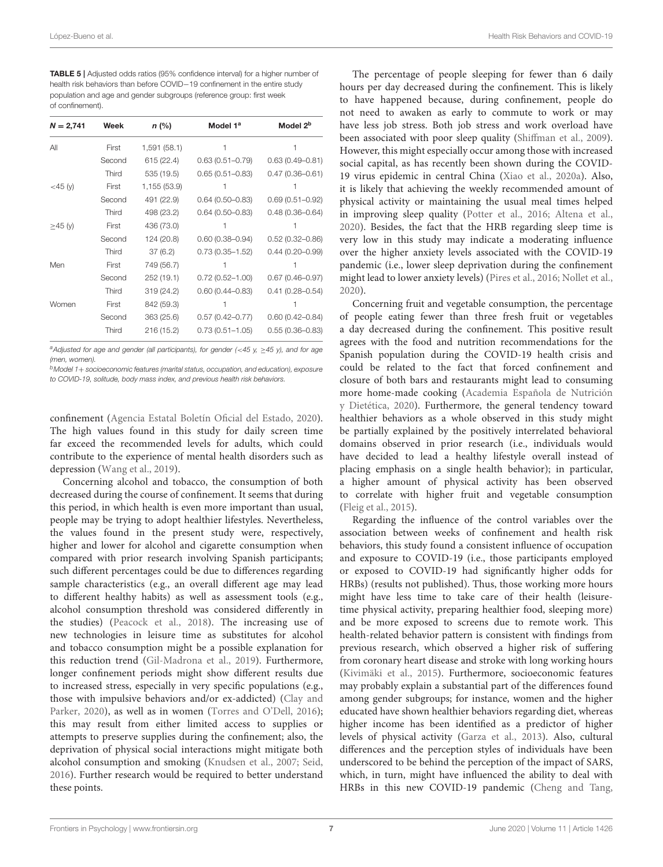<span id="page-6-0"></span>TABLE 5 | Adjusted odds ratios (95% confidence interval) for a higher number of health risk behaviors than before COVID−19 confinement in the entire study population and age and gender subgroups (reference group: first week of confinement).

| $N = 2,741$ | Week   | $n$ (%)      | Model 1 <sup>a</sup> | Model 2 <sup>b</sup> |
|-------------|--------|--------------|----------------------|----------------------|
| All         | First  | 1,591 (58.1) | 1                    |                      |
|             | Second | 615 (22.4)   | $0.63(0.51 - 0.79)$  | $0.63(0.49 - 0.81)$  |
|             | Third  | 535 (19.5)   | $0.65(0.51 - 0.83)$  | $0.47(0.36 - 0.61)$  |
| $<$ 45 (y)  | First  | 1,155 (53.9) |                      |                      |
|             | Second | 491 (22.9)   | $0.64(0.50 - 0.83)$  | $0.69(0.51 - 0.92)$  |
|             | Third  | 498 (23.2)   | $0.64(0.50 - 0.83)$  | $0.48(0.36 - 0.64)$  |
| ≥45 (y)     | First  | 436 (73.0)   |                      |                      |
|             | Second | 124 (20.8)   | $0.60(0.38 - 0.94)$  | $0.52(0.32 - 0.86)$  |
|             | Third  | 37(6.2)      | $0.73(0.35 - 1.52)$  | $0.44(0.20 - 0.99)$  |
| Men         | First  | 749 (56.7)   |                      |                      |
|             | Second | 252 (19.1)   | $0.72(0.52 - 1.00)$  | $0.67(0.46 - 0.97)$  |
|             | Third  | 319 (24.2)   | $0.60(0.44 - 0.83)$  | $0.41(0.28 - 0.54)$  |
| Women       | First  | 842 (59.3)   |                      |                      |
|             | Second | 363 (25.6)   | $0.57(0.42 - 0.77)$  | $0.60(0.42 - 0.84)$  |
|             | Third  | 216 (15.2)   | $0.73(0.51 - 1.05)$  | $0.55(0.36 - 0.83)$  |

a Adjusted for age and gender (all participants), for gender (<45 y,  $\geq$ 45 y), and for age (men, women).

 $<sup>b</sup>$ Model 1+ socioeconomic features (marital status, occupation, and education), exposure</sup> to COVID-19, solitude, body mass index, and previous health risk behaviors.

confinement [\(Agencia Estatal Boletín Oficial del Estado, 2020\)](#page-7-0). The high values found in this study for daily screen time far exceed the recommended levels for adults, which could contribute to the experience of mental health disorders such as depression [\(Wang et al., 2019\)](#page-9-10).

Concerning alcohol and tobacco, the consumption of both decreased during the course of confinement. It seems that during this period, in which health is even more important than usual, people may be trying to adopt healthier lifestyles. Nevertheless, the values found in the present study were, respectively, higher and lower for alcohol and cigarette consumption when compared with prior research involving Spanish participants; such different percentages could be due to differences regarding sample characteristics (e.g., an overall different age may lead to different healthy habits) as well as assessment tools (e.g., alcohol consumption threshold was considered differently in the studies) [\(Peacock et al., 2018\)](#page-8-26). The increasing use of new technologies in leisure time as substitutes for alcohol and tobacco consumption might be a possible explanation for this reduction trend [\(Gil-Madrona et al., 2019\)](#page-8-27). Furthermore, longer confinement periods might show different results due to increased stress, especially in very specific populations (e.g., those with impulsive behaviors and/or ex-addicted) (Clay and Parker, [2020\)](#page-7-5), as well as in women [\(Torres and O'Dell, 2016\)](#page-9-6); this may result from either limited access to supplies or attempts to preserve supplies during the confinement; also, the deprivation of physical social interactions might mitigate both alcohol consumption and smoking [\(Knudsen et al., 2007;](#page-8-28) [Seid,](#page-8-29) [2016\)](#page-8-29). Further research would be required to better understand these points.

The percentage of people sleeping for fewer than 6 daily hours per day decreased during the confinement. This is likely to have happened because, during confinement, people do not need to awaken as early to commute to work or may have less job stress. Both job stress and work overload have been associated with poor sleep quality [\(Shiffman et al., 2009\)](#page-8-30). However, this might especially occur among those with increased social capital, as has recently been shown during the COVID-19 virus epidemic in central China [\(Xiao et al., 2020a\)](#page-9-4). Also, it is likely that achieving the weekly recommended amount of physical activity or maintaining the usual meal times helped in improving sleep quality [\(Potter et al., 2016;](#page-8-31) [Altena et al.,](#page-7-6) [2020\)](#page-7-6). Besides, the fact that the HRB regarding sleep time is very low in this study may indicate a moderating influence over the higher anxiety levels associated with the COVID-19 pandemic (i.e., lower sleep deprivation during the confinement might lead to lower anxiety levels) [\(Pires et al., 2016;](#page-8-32) [Nollet et al.,](#page-8-33) [2020\)](#page-8-33).

Concerning fruit and vegetable consumption, the percentage of people eating fewer than three fresh fruit or vegetables a day decreased during the confinement. This positive result agrees with the food and nutrition recommendations for the Spanish population during the COVID-19 health crisis and could be related to the fact that forced confinement and closure of both bars and restaurants might lead to consuming more home-made cooking (Academia Española de Nutrición y Dietética, [2020\)](#page-7-7). Furthermore, the general tendency toward healthier behaviors as a whole observed in this study might be partially explained by the positively interrelated behavioral domains observed in prior research (i.e., individuals would have decided to lead a healthy lifestyle overall instead of placing emphasis on a single health behavior); in particular, a higher amount of physical activity has been observed to correlate with higher fruit and vegetable consumption [\(Fleig et al., 2015\)](#page-8-34).

Regarding the influence of the control variables over the association between weeks of confinement and health risk behaviors, this study found a consistent influence of occupation and exposure to COVID-19 (i.e., those participants employed or exposed to COVID-19 had significantly higher odds for HRBs) (results not published). Thus, those working more hours might have less time to take care of their health (leisuretime physical activity, preparing healthier food, sleeping more) and be more exposed to screens due to remote work. This health-related behavior pattern is consistent with findings from previous research, which observed a higher risk of suffering from coronary heart disease and stroke with long working hours [\(Kivimäki et al., 2015\)](#page-8-35). Furthermore, socioeconomic features may probably explain a substantial part of the differences found among gender subgroups; for instance, women and the higher educated have shown healthier behaviors regarding diet, whereas higher income has been identified as a predictor of higher levels of physical activity [\(Garza et al., 2013\)](#page-8-36). Also, cultural differences and the perception styles of individuals have been underscored to be behind the perception of the impact of SARS, which, in turn, might have influenced the ability to deal with HRBs in this new COVID-19 pandemic [\(Cheng and Tang,](#page-7-8)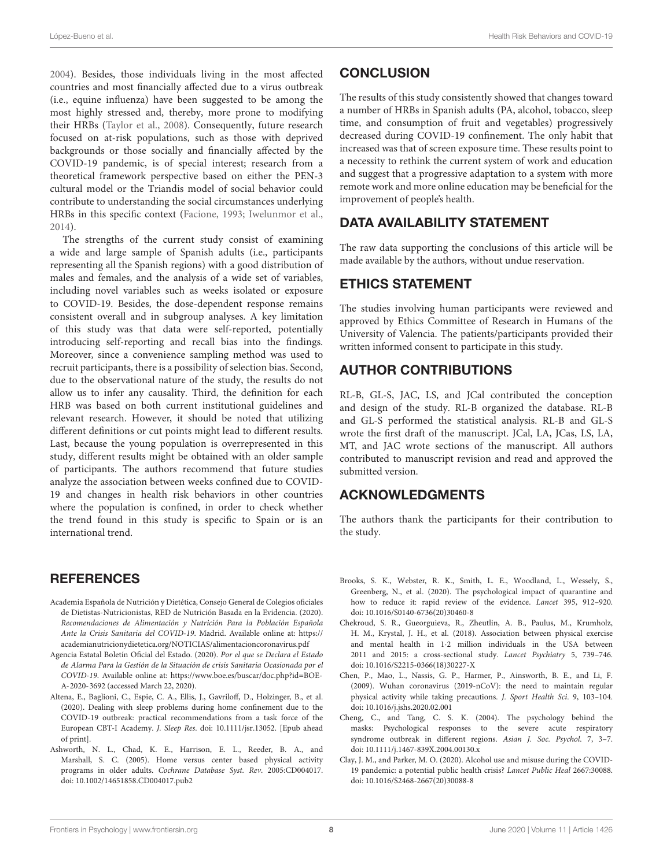[2004\)](#page-7-8). Besides, those individuals living in the most affected countries and most financially affected due to a virus outbreak (i.e., equine influenza) have been suggested to be among the most highly stressed and, thereby, more prone to modifying their HRBs [\(Taylor et al., 2008\)](#page-9-11). Consequently, future research focused on at-risk populations, such as those with deprived backgrounds or those socially and financially affected by the COVID-19 pandemic, is of special interest; research from a theoretical framework perspective based on either the PEN-3 cultural model or the Triandis model of social behavior could contribute to understanding the social circumstances underlying HRBs in this specific context [\(Facione, 1993;](#page-8-37) [Iwelunmor et al.,](#page-8-38) [2014\)](#page-8-38).

The strengths of the current study consist of examining a wide and large sample of Spanish adults (i.e., participants representing all the Spanish regions) with a good distribution of males and females, and the analysis of a wide set of variables, including novel variables such as weeks isolated or exposure to COVID-19. Besides, the dose-dependent response remains consistent overall and in subgroup analyses. A key limitation of this study was that data were self-reported, potentially introducing self-reporting and recall bias into the findings. Moreover, since a convenience sampling method was used to recruit participants, there is a possibility of selection bias. Second, due to the observational nature of the study, the results do not allow us to infer any causality. Third, the definition for each HRB was based on both current institutional guidelines and relevant research. However, it should be noted that utilizing different definitions or cut points might lead to different results. Last, because the young population is overrepresented in this study, different results might be obtained with an older sample of participants. The authors recommend that future studies analyze the association between weeks confined due to COVID-19 and changes in health risk behaviors in other countries where the population is confined, in order to check whether the trend found in this study is specific to Spain or is an international trend.

## **REFERENCES**

- <span id="page-7-7"></span>Academia Española de Nutrición y Dietética, Consejo General de Colegios oficiales de Dietistas-Nutricionistas, RED de Nutrición Basada en la Evidencia. (2020). Recomendaciones de Alimentación y Nutrición Para la Población Española Ante la Crisis Sanitaria del COVID-19. Madrid. Available online at: [https://](https://academianutricionydietetica.org/NOTICIAS/alimentacioncoronavirus.pdf) [academianutricionydietetica.org/NOTICIAS/alimentacioncoronavirus.pdf](https://academianutricionydietetica.org/NOTICIAS/alimentacioncoronavirus.pdf)
- <span id="page-7-0"></span>Agencia Estatal Boletín Oficial del Estado. (2020). Por el que se Declara el Estado de Alarma Para la Gestión de la Situación de crisis Sanitaria Ocasionada por el COVID-19. Available online at: [https://www.boe.es/buscar/doc.php?id=BOE-](https://www.boe.es/buscar/doc.php?id=BOE-A-2020-3692)[A-2020-3692](https://www.boe.es/buscar/doc.php?id=BOE-A-2020-3692) (accessed March 22, 2020).
- <span id="page-7-6"></span>Altena, E., Baglioni, C., Espie, C. A., Ellis, J., Gavriloff, D., Holzinger, B., et al. (2020). Dealing with sleep problems during home confinement due to the COVID-19 outbreak: practical recommendations from a task force of the European CBT-I Academy. J. Sleep Res. doi: [10.1111/jsr.13052.](https://doi.org/10.1111/jsr.13052) [Epub ahead of print].
- <span id="page-7-4"></span>Ashworth, N. L., Chad, K. E., Harrison, E. L., Reeder, B. A., and Marshall, S. C. (2005). Home versus center based physical activity programs in older adults. Cochrane Database Syst. Rev. 2005:CD004017. doi: [10.1002/14651858.CD004017.pub2](https://doi.org/10.1002/14651858.CD004017.pub2)

# **CONCLUSION**

The results of this study consistently showed that changes toward a number of HRBs in Spanish adults (PA, alcohol, tobacco, sleep time, and consumption of fruit and vegetables) progressively decreased during COVID-19 confinement. The only habit that increased was that of screen exposure time. These results point to a necessity to rethink the current system of work and education and suggest that a progressive adaptation to a system with more remote work and more online education may be beneficial for the improvement of people's health.

# DATA AVAILABILITY STATEMENT

The raw data supporting the conclusions of this article will be made available by the authors, without undue reservation.

# ETHICS STATEMENT

The studies involving human participants were reviewed and approved by Ethics Committee of Research in Humans of the University of Valencia. The patients/participants provided their written informed consent to participate in this study.

# AUTHOR CONTRIBUTIONS

RL-B, GL-S, JAC, LS, and JCal contributed the conception and design of the study. RL-B organized the database. RL-B and GL-S performed the statistical analysis. RL-B and GL-S wrote the first draft of the manuscript. JCal, LA, JCas, LS, LA, MT, and JAC wrote sections of the manuscript. All authors contributed to manuscript revision and read and approved the submitted version.

## ACKNOWLEDGMENTS

The authors thank the participants for their contribution to the study.

- <span id="page-7-3"></span>Brooks, S. K., Webster, R. K., Smith, L. E., Woodland, L., Wessely, S., Greenberg, N., et al. (2020). The psychological impact of quarantine and how to reduce it: rapid review of the evidence. Lancet 395, 912–920. doi: [10.1016/S0140-6736\(20\)30460-8](https://doi.org/10.1016/S0140-6736(20)30460-8)
- <span id="page-7-2"></span>Chekroud, S. R., Gueorguieva, R., Zheutlin, A. B., Paulus, M., Krumholz, H. M., Krystal, J. H., et al. (2018). Association between physical exercise and mental health in 1·2 million individuals in the USA between 2011 and 2015: a cross-sectional study. Lancet Psychiatry 5, 739–746. doi: [10.1016/S2215-0366\(18\)30227-X](https://doi.org/10.1016/S2215-0366(18)30227-X)
- <span id="page-7-1"></span>Chen, P., Mao, L., Nassis, G. P., Harmer, P., Ainsworth, B. E., and Li, F. (2009). Wuhan coronavirus (2019-nCoV): the need to maintain regular physical activity while taking precautions. J. Sport Health Sci. 9, 103–104. doi: [10.1016/j.jshs.2020.02.001](https://doi.org/10.1016/j.jshs.2020.02.001)
- <span id="page-7-8"></span>Cheng, C., and Tang, C. S. K. (2004). The psychology behind the masks: Psychological responses to the severe acute respiratory syndrome outbreak in different regions. Asian J. Soc. Psychol. 7, 3–7. doi: [10.1111/j.1467-839X.2004.00130.x](https://doi.org/10.1111/j.1467-839X.2004.00130.x)
- <span id="page-7-5"></span>Clay, J. M., and Parker, M. O. (2020). Alcohol use and misuse during the COVID-19 pandemic: a potential public health crisis? Lancet Public Heal 2667:30088. doi: [10.1016/S2468-2667\(20\)30088-8](https://doi.org/10.1016/S2468-2667(20)30088-8)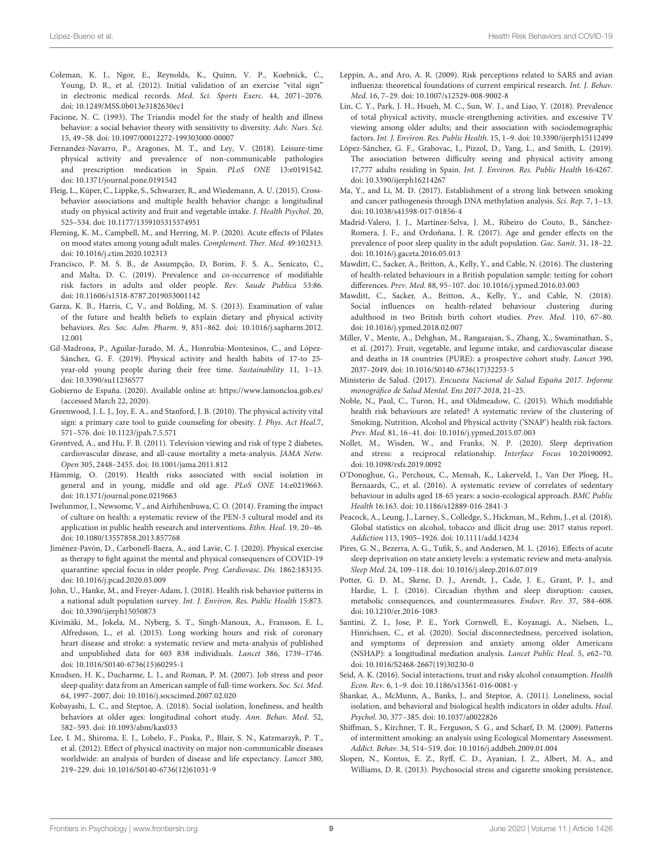- <span id="page-8-17"></span>Coleman, K. J., Ngor, E., Reynolds, K., Quinn, V. P., Koebnick, C., Young, D. R., et al. (2012). Initial validation of an exercise "vital sign" in electronic medical records. Med. Sci. Sports Exerc. 44, 2071–2076. doi: [10.1249/MSS.0b013e3182630ec1](https://doi.org/10.1249/MSS.0b013e3182630ec1)
- <span id="page-8-37"></span>Facione, N. C. (1993). The Triandis model for the study of health and illness behavior: a social behavior theory with sensitivity to diversity. Adv. Nurs. Sci. 15, 49–58. doi: [10.1097/00012272-199303000-00007](https://doi.org/10.1097/00012272-199303000-00007)
- <span id="page-8-22"></span>Fernandez-Navarro, P., Aragones, M. T., and Ley, V. (2018). Leisure-time physical activity and prevalence of non-communicable pathologies and prescription medication in Spain. PLoS ONE 13:e0191542. doi: [10.1371/journal.pone.0191542](https://doi.org/10.1371/journal.pone.0191542)
- <span id="page-8-34"></span>Fleig, L., Küper, C., Lippke, S., Schwarzer, R., and Wiedemann, A. U. (2015). Crossbehavior associations and multiple health behavior change: a longitudinal study on physical activity and fruit and vegetable intake. J. Health Psychol. 20, 525–534. doi: [10.1177/1359105315574951](https://doi.org/10.1177/1359105315574951)
- <span id="page-8-5"></span>Fleming, K. M., Campbell, M., and Herring, M. P. (2020). Acute effects of Pilates on mood states among young adult males. Complement. Ther. Med. 49:102313. doi: [10.1016/j.ctim.2020.102313](https://doi.org/10.1016/j.ctim.2020.102313)
- <span id="page-8-11"></span>Francisco, P. M. S. B., de Assumpção, D, Borim, F. S. A., Senicato, C., and Malta, D. C. (2019). Prevalence and co-occurrence of modifiable risk factors in adults and older people. Rev. Saude Publica 53:86. doi: [10.11606/s1518-8787.2019053001142](https://doi.org/10.11606/s1518-8787.2019053001142)
- <span id="page-8-36"></span>Garza, K. B., Harris, C, V., and Bolding, M. S. (2013). Examination of value of the future and health beliefs to explain dietary and physical activity behaviors. Res. Soc. Adm. Pharm[. 9, 851–862. doi: 10.1016/j.sapharm.2012.](https://doi.org/10.1016/j.sapharm.2012.12.001) 12.001
- <span id="page-8-27"></span>Gil-Madrona, P., Aguilar-Jurado, M. Á., Honrubia-Montesinos, C., and López-Sánchez, G. F. (2019). Physical activity and health habits of 17-to 25 year-old young people during their free time. Sustainability 11, 1–13. doi: [10.3390/su11236577](https://doi.org/10.3390/su11236577)
- <span id="page-8-0"></span>Gobierno de España. (2020). Available online at:<https://www.lamoncloa.gob.es/> (accessed March 22, 2020).
- <span id="page-8-16"></span>Greenwood, J. L. J., Joy, E. A., and Stanford, J. B. (2010). The physical activity vital sign: a primary care tool to guide counseling for obesity. J. Phys. Act Heal.7, 571–576. doi: [10.1123/jpah.7.5.571](https://doi.org/10.1123/jpah.7.5.571)
- <span id="page-8-18"></span>Grøntved, A., and Hu, F. B. (2011). Television viewing and risk of type 2 diabetes, cardiovascular disease, and all-cause mortality a meta-analysis. JAMA Netw. Open 305, 2448–2455. doi: [10.1001/jama.2011.812](https://doi.org/10.1001/jama.2011.812)
- <span id="page-8-6"></span>Hämmig, O. (2019). Health risks associated with social isolation in general and in young, middle and old age. PLoS ONE 14:e0219663. doi: [10.1371/journal.pone.0219663](https://doi.org/10.1371/journal.pone.0219663)
- <span id="page-8-38"></span>Iwelunmor, J., Newsome, V., and Airhihenbuwa, C. O. (2014). Framing the impact of culture on health: a systematic review of the PEN-3 cultural model and its application in public health research and interventions. Ethn. Heal. 19, 20–46. doi: [10.1080/13557858.2013.857768](https://doi.org/10.1080/13557858.2013.857768)
- <span id="page-8-1"></span>Jiménez-Pavón, D., Carbonell-Baeza, A., and Lavie, C. J. (2020). Physical exercise as therapy to fight against the mental and physical consequences of COVID-19 quarantine: special focus in older people. Prog. Cardiovasc. Dis. 1862:183135. doi: [10.1016/j.pcad.2020.03.009](https://doi.org/10.1016/j.pcad.2020.03.009)
- <span id="page-8-15"></span>John, U., Hanke, M., and Freyer-Adam, J. (2018). Health risk behavior patterns in a national adult population survey. Int. J. Environ. Res. Public Health 15:873. doi: [10.3390/ijerph15050873](https://doi.org/10.3390/ijerph15050873)
- <span id="page-8-35"></span>Kivimäki, M., Jokela, M., Nyberg, S. T., Singh-Manoux, A., Fransson, E. I., Alfredsson, L., et al. (2015). Long working hours and risk of coronary heart disease and stroke: a systematic review and meta-analysis of published and unpublished data for 603 838 individuals. Lancet 386, 1739–1746. doi: [10.1016/S0140-6736\(15\)60295-1](https://doi.org/10.1016/S0140-6736(15)60295-1)
- <span id="page-8-28"></span>Knudsen, H. K., Ducharme, L. J., and Roman, P. M. (2007). Job stress and poor sleep quality: data from an American sample of full-time workers. Soc. Sci. Med. 64, 1997–2007. doi: [10.1016/j.socscimed.2007.02.020](https://doi.org/10.1016/j.socscimed.2007.02.020)
- <span id="page-8-8"></span>Kobayashi, L. C., and Steptoe, A. (2018). Social isolation, loneliness, and health behaviors at older ages: longitudinal cohort study. Ann. Behav. Med. 52, 582–593. doi: [10.1093/abm/kax033](https://doi.org/10.1093/abm/kax033)
- <span id="page-8-4"></span>Lee, I. M., Shiroma, E. J., Lobelo, F., Puska, P., Blair, S. N., Katzmarzyk, P. T., et al. (2012). Effect of physical inactivity on major non-communicable diseases worldwide: an analysis of burden of disease and life expectancy. Lancet 380, 219–229. doi: [10.1016/S0140-6736\(12\)61031-9](https://doi.org/10.1016/S0140-6736(12)61031-9)
- <span id="page-8-2"></span>Leppin, A., and Aro, A. R. (2009). Risk perceptions related to SARS and avian influenza: theoretical foundations of current empirical research. Int. J. Behav. Med. 16, 7–29. doi: [10.1007/s12529-008-9002-8](https://doi.org/10.1007/s12529-008-9002-8)
- <span id="page-8-3"></span>Lin, C. Y., Park, J. H., Hsueh, M. C., Sun, W. J., and Liao, Y. (2018). Prevalence of total physical activity, muscle-strengthening activities, and excessive TV viewing among older adults; and their association with sociodemographic factors. Int. J. Environ. Res. Public Health. 15, 1–9. doi: [10.3390/ijerph15112499](https://doi.org/10.3390/ijerph15112499)
- <span id="page-8-23"></span>López-Sánchez, G. F., Grabovac, I., Pizzol, D., Yang, L., and Smith, L. (2019). The association between difficulty seeing and physical activity among 17,777 adults residing in Spain. Int. J. Environ. Res. Public Health 16:4267. doi: [10.3390/ijerph16214267](https://doi.org/10.3390/ijerph16214267)
- <span id="page-8-19"></span>Ma, Y., and Li, M. D. (2017). Establishment of a strong link between smoking and cancer pathogenesis through DNA methylation analysis. Sci. Rep. 7, 1–13. doi: [10.1038/s41598-017-01856-4](https://doi.org/10.1038/s41598-017-01856-4)
- <span id="page-8-20"></span>Madrid-Valero, J. J., Martínez-Selva, J. M., Ribeiro do Couto, B., Sánchez-Romera, J. F., and Ordoñana, J. R. (2017). Age and gender effects on the prevalence of poor sleep quality in the adult population. Gac. Sanit. 31, 18–22. doi: [10.1016/j.gaceta.2016.05.013](https://doi.org/10.1016/j.gaceta.2016.05.013)
- <span id="page-8-13"></span>Mawditt, C., Sacker, A., Britton, A., Kelly, Y., and Cable, N. (2016). The clustering of health-related behaviours in a British population sample: testing for cohort differences. Prev. Med. 88, 95–107. doi: [10.1016/j.ypmed.2016.03.003](https://doi.org/10.1016/j.ypmed.2016.03.003)
- <span id="page-8-14"></span>Mawditt, C., Sacker, A., Britton, A., Kelly, Y., and Cable, N. (2018). Social influences on health-related behaviour clustering during adulthood in two British birth cohort studies. Prev. Med. 110, 67–80. doi: [10.1016/j.ypmed.2018.02.007](https://doi.org/10.1016/j.ypmed.2018.02.007)
- <span id="page-8-21"></span>Miller, V., Mente, A., Dehghan, M., Rangarajan, S., Zhang, X., Swaminathan, S., et al. (2017). Fruit, vegetable, and legume intake, and cardiovascular disease and deaths in 18 countries (PURE): a prospective cohort study. Lancet 390, 2037–2049. doi: [10.1016/S0140-6736\(17\)32253-5](https://doi.org/10.1016/S0140-6736(17)32253-5)
- <span id="page-8-24"></span>Ministerio de Salud. (2017). Encuesta Nacional de Salud España 2017. Informe monográfico de Salud Mental. Ens 2017-2018, 21–25.
- <span id="page-8-12"></span>Noble, N., Paul, C., Turon, H., and Oldmeadow, C. (2015). Which modifiable health risk behaviours are related? A systematic review of the clustering of Smoking, Nutrition, Alcohol and Physical activity ('SNAP') health risk factors. Prev. Med. 81, 16–41. doi: [10.1016/j.ypmed.2015.07.003](https://doi.org/10.1016/j.ypmed.2015.07.003)
- <span id="page-8-33"></span>Nollet, M., Wisden, W., and Franks, N. P. (2020). Sleep deprivation and stress: a reciprocal relationship. Interface Focus 10:20190092. doi: [10.1098/rsfs.2019.0092](https://doi.org/10.1098/rsfs.2019.0092)
- <span id="page-8-25"></span>O'Donoghue, G., Perchoux, C., Mensah, K., Lakerveld, J., Van Der Ploeg, H., Bernaards, C., et al. (2016). A systematic review of correlates of sedentary behaviour in adults aged 18-65 years: a socio-ecological approach. BMC Public Health 16:163. doi: [10.1186/s12889-016-2841-3](https://doi.org/10.1186/s12889-016-2841-3)
- <span id="page-8-26"></span>Peacock, A., Leung, J., Larney, S., Colledge, S., Hickman, M., Rehm, J., et al. (2018). Global statistics on alcohol, tobacco and illicit drug use: 2017 status report. Addiction 113, 1905–1926. doi: [10.1111/add.14234](https://doi.org/10.1111/add.14234)
- <span id="page-8-32"></span>Pires, G. N., Bezerra, A. G., Tufik, S., and Andersen, M. L. (2016). Effects of acute sleep deprivation on state anxiety levels: a systematic review and meta-analysis. Sleep Med. 24, 109–118. doi: [10.1016/j.sleep.2016.07.019](https://doi.org/10.1016/j.sleep.2016.07.019)
- <span id="page-8-31"></span>Potter, G. D. M., Skene, D. J., Arendt, J., Cade, J. E., Grant, P. J., and Hardie, L. J. (2016). Circadian rhythm and sleep disruption: causes, metabolic consequences, and countermeasures. Endocr. Rev. 37, 584–608. doi: [10.1210/er.2016-1083](https://doi.org/10.1210/er.2016-1083)
- <span id="page-8-9"></span>Santini, Z. I., Jose, P. E., York Cornwell, E., Koyanagi, A., Nielsen, L., Hinrichsen, C., et al. (2020). Social disconnectedness, perceived isolation, and symptoms of depression and anxiety among older Americans (NSHAP): a longitudinal mediation analysis. Lancet Public Heal. 5, e62–70. doi: [10.1016/S2468-2667\(19\)30230-0](https://doi.org/10.1016/S2468-2667(19)30230-0)
- <span id="page-8-29"></span>Seid, A. K. (2016). Social interactions, trust and risky alcohol consumption. Health Econ. Rev. 6, 1–9. doi: [10.1186/s13561-016-0081-y](https://doi.org/10.1186/s13561-016-0081-y)
- <span id="page-8-7"></span>Shankar, A., McMunn, A., Banks, J., and Steptoe, A. (2011). Loneliness, social isolation, and behavioral and biological health indicators in older adults. Heal. Psychol. 30, 377–385. doi: [10.1037/a0022826](https://doi.org/10.1037/a0022826)
- <span id="page-8-30"></span>Shiffman, S., Kirchner, T. R., Ferguson, S. G., and Scharf, D. M. (2009). Patterns of intermittent smoking: an analysis using Ecological Momentary Assessment. Addict. Behav. 34, 514–519. doi: [10.1016/j.addbeh.2009.01.004](https://doi.org/10.1016/j.addbeh.2009.01.004)
- <span id="page-8-10"></span>Slopen, N., Kontos, E. Z., Ryff, C. D., Ayanian, J. Z., Albert, M. A., and Williams, D. R. (2013). Psychosocial stress and cigarette smoking persistence,